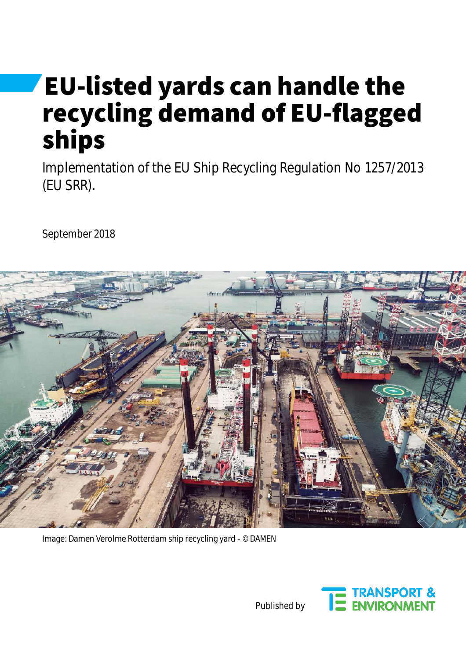# **EU-listed yards can handle the** recycling demand of EU-flagged ships

Implementation of the EU Ship Recycling Regulation No 1257/2013 (EU SRR).

September 2018



Image: Damen Verolme Rotterdam ship recycling yard - © DAMEN



Published by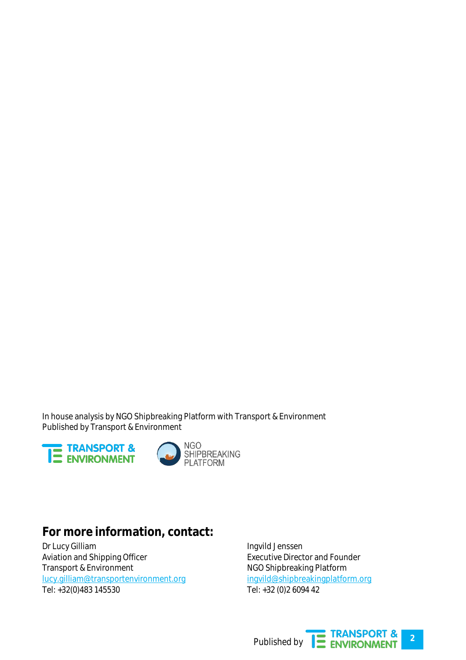In house analysis by NGO Shipbreaking Platform with Transport & Environment Published by Transport & Environment





#### **For more information, contact:**

Dr Lucy Gilliam Aviation and Shipping Officer Transport & Environment [lucy.gilliam@transportenvironment.org](mailto:lucy.gilliam@transportenvironment.org) Tel: +32(0)483 145530

Ingvild Jenssen Executive Director and Founder NGO Shipbreaking Platform [ingvild@shipbreakingplatform.org](mailto:ingvild@shipbreakingplatform.org) Tel: +32 (0)2 6094 42

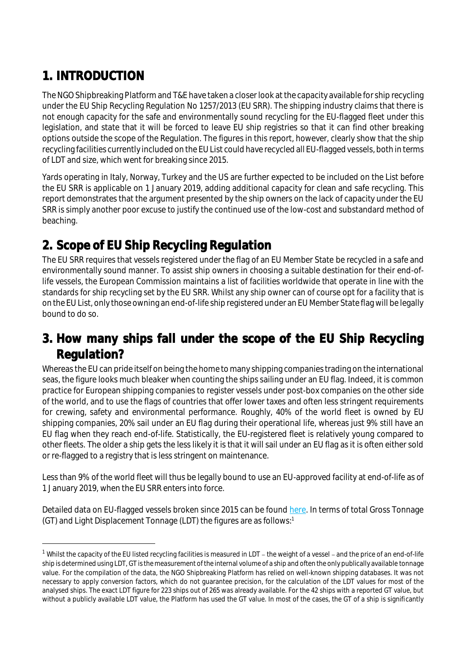# 1. INTRODUCTION

The NGO Shipbreaking Platform and T&E have taken a closer look at the capacity available for ship recycling under the EU Ship Recycling Regulation No 1257/2013 (EU SRR). The shipping industry claims that there is not enough capacity for the safe and environmentally sound recycling for the EU-flagged fleet under this legislation, and state that it will be forced to leave EU ship registries so that it can find other breaking options outside the scope of the Regulation. The figures in this report, however, clearly show that the ship recycling facilities currently included on the EU List could have recycled all EU-flagged vessels, both in terms of LDT and size, which went for breaking since 2015.

Yards operating in Italy, Norway, Turkey and the US are further expected to be included on the List before the EU SRR is applicable on 1 January 2019, adding additional capacity for clean and safe recycling. This report demonstrates that the argument presented by the ship owners on the lack of capacity under the EU SRR is simply another poor excuse to justify the continued use of the low-cost and substandard method of beaching.

# 2. Scope of EU Ship Recycling Regulation

The EU SRR requires that vessels registered under the flag of an EU Member State be recycled in a safe and environmentally sound manner. To assist ship owners in choosing a suitable destination for their end-oflife vessels, the European Commission maintains a list of facilities worldwide that operate in line with the standards for ship recycling set by the EU SRR. Whilst any ship owner can of course opt for a facility that is on the EU List, only those owning an end-of-life ship registered under an EU Member State flag will be legally bound to do so.

## 3. How many ships fall under the scope of the EU Ship Recycling Regulation?

Whereas the EU can pride itself on being the home to many shipping companies trading on the international seas, the figure looks much bleaker when counting the ships sailing under an EU flag. Indeed, it is common practice for European shipping companies to register vessels under post-box companies on the other side of the world, and to use the flags of countries that offer lower taxes and often less stringent requirements for crewing, safety and environmental performance. Roughly, 40% of the world fleet is owned by EU shipping companies, 20% sail under an EU flag during their operational life, whereas just 9% still have an EU flag when they reach end-of-life. Statistically, the EU-registered fleet is relatively young compared to other fleets. The older a ship gets the less likely it is that it will sail under an EU flag as it is often either sold or re-flagged to a registry that is less stringent on maintenance.

Less than 9% of the world fleet will thus be legally bound to use an EU-approved facility at end-of-life as of 1 January 2019, when the EU SRR enters into force.

Detailed data on EU-flagged vessels broken since 2015 can be found [here.](https://docs.google.com/spreadsheets/d/1Yj9HHDygsyU4G3_zU8sSuQHS8beDp58SOnGkWu3X1ws/edit#gid=0) In terms of total Gross Tonnage (GT) and Light Displacement Tonnage (LDT) the figures are as follows:<sup>1</sup>

<sup>&</sup>lt;sup>1</sup> Whilst the capacity of the EU listed recycling facilities is measured in LDT - the weight of a vessel - and the price of an end-of-life ship is determined using LDT, GT is the measurement of the internal volume of a ship and often the only publically available tonnage value. For the compilation of the data, the NGO Shipbreaking Platform has relied on well-known shipping databases. It was not necessary to apply conversion factors, which do not guarantee precision, for the calculation of the LDT values for most of the analysed ships. The exact LDT figure for 223 ships out of 265 was already available. For the 42 ships with a reported GT value, but without a publicly available LDT value, the Platform has used the GT value. In most of the cases, the GT of a ship is significantly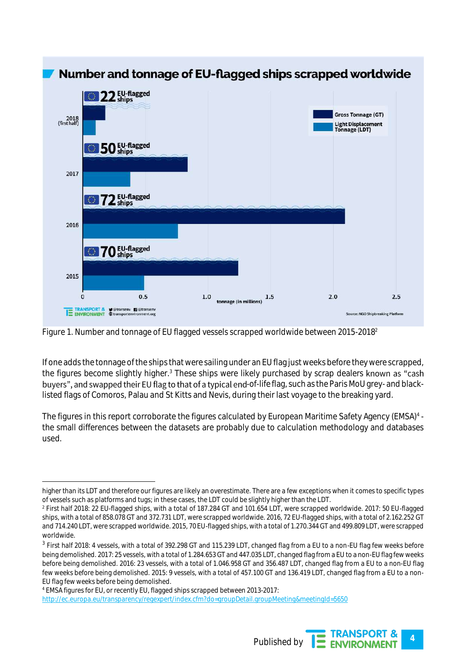

Figure 1. Number and tonnage of EU flagged vessels scrapped worldwide between 2015-2018<sup>2</sup>

If one adds the tonnage of the ships that were sailing under an EU flag just weeks before they were scrapped, the figures become slightly higher.<sup>3</sup> These ships were likely purchased by scrap dealers known as "cash buyers", and swapped their EU flag to that of a typical end-of-life flag, such as the Paris MoU grey- and blacklisted flags of Comoros, Palau and St Kitts and Nevis, during their last voyage to the breaking yard.

The figures in this report corroborate the figures calculated by European Maritime Safety Agency (EMSA)<sup>4</sup> the small differences between the datasets are probably due to calculation methodology and databases used.

<sup>4</sup> EMSA figures for EU, or recently EU, flagged ships scrapped between 2013-2017: <http://ec.europa.eu/transparency/regexpert/index.cfm?do=groupDetail.groupMeeting&meetingId=5650>



 higher than its LDT and therefore our figures are likely an overestimate. There are a few exceptions when it comes to specific types of vessels such as platforms and tugs; in these cases, the LDT could be slightly higher than the LDT.

<sup>2</sup> First half 2018: 22 EU-flagged ships, with a total of 187.284 GT and 101.654 LDT, were scrapped worldwide. 2017: 50 EU-flagged ships, with a total of 858.078 GT and 372.731 LDT, were scrapped worldwide. 2016, 72 EU-flagged ships, with a total of 2.162.252 GT and 714.240 LDT, were scrapped worldwide. 2015, 70 EU-flagged ships, with a total of 1.270.344 GT and 499.809 LDT, were scrapped worldwide.

 $^3$  First half 2018: 4 vessels, with a total of 392.298 GT and 115.239 LDT, changed flag from a EU to a non-EU flag few weeks before being demolished. 2017: 25 vessels, with a total of 1.284.653 GT and 447.035 LDT, changed flag from a EU to a non-EU flag few weeks before being demolished. 2016: 23 vessels, with a total of 1.046.958 GT and 356.487 LDT, changed flag from a EU to a non-EU flag few weeks before being demolished. 2015: 9 vessels, with a total of 457.100 GT and 136.419 LDT, changed flag from a EU to a non-EU flag few weeks before being demolished.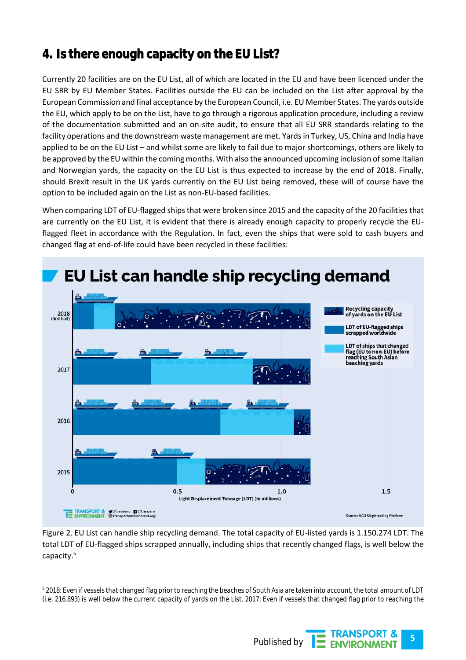# 4. Is there enough capacity on the EU List?

Currently 20 facilities are on the EU List, all of which are located in the EU and have been licenced under the EU SRR by EU Member States. Facilities outside the EU can be included on the List after approval by the European Commission and final acceptance by the European Council, i.e. EU Member States. The yards outside the EU, which apply to be on the List, have to go through a rigorous application procedure, including a review of the documentation submitted and an on-site audit, to ensure that all EU SRR standards relating to the facility operations and the downstream waste management are met. Yards in Turkey, US, China and India have applied to be on the EU List – and whilst some are likely to fail due to major shortcomings, others are likely to be approved by the EU within the coming months. With also the announced upcoming inclusion of some Italian and Norwegian yards, the capacity on the EU List is thus expected to increase by the end of 2018. Finally, should Brexit result in the UK yards currently on the EU List being removed, these will of course have the option to be included again on the List as non-EU-based facilities.

When comparing LDT of EU-flagged ships that were broken since 2015 and the capacity of the 20 facilities that are currently on the EU List, it is evident that there is already enough capacity to properly recycle the EUflagged fleet in accordance with the Regulation. In fact, even the ships that were sold to cash buyers and changed flag at end-of-life could have been recycled in these facilities:



Figure 2. EU List can handle ship recycling demand. The total capacity of EU-listed yards is 1.150.274 LDT. The total LDT of EU-flagged ships scrapped annually, including ships that recently changed flags, is well below the capacity.<sup>5</sup>

<sup>5</sup> 2018: Even if vessels that changed flag prior to reaching the beaches of South Asia are taken into account, the total amount of LDT (i.e. 216.893) is well below the current capacity of yards on the List. 2017: Even if vessels that changed flag prior to reaching the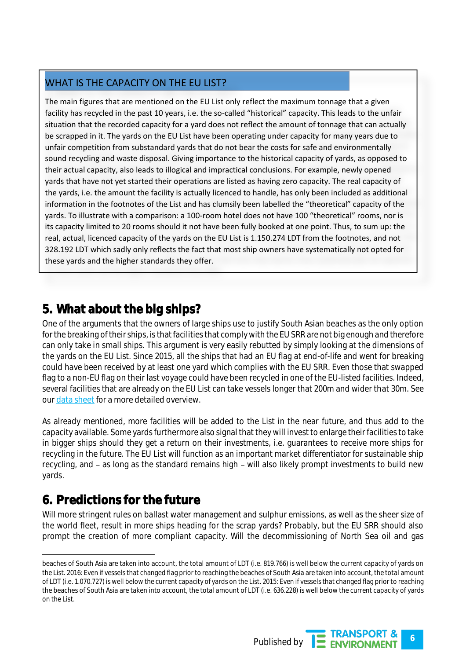#### WHAT IS THE CAPACITY ON THE EU LIST?

The main figures that are mentioned on the EU List only reflect the maximum tonnage that a given facility has recycled in the past 10 years, i.e. the so-called "historical" capacity. This leads to the unfair situation that the recorded capacity for a yard does not reflect the amount of tonnage that can actually be scrapped in it. The yards on the EU List have been operating under capacity for many years due to unfair competition from substandard yards that do not bear the costs for safe and environmentally sound recycling and waste disposal. Giving importance to the historical capacity of yards, as opposed to their actual capacity, also leads to illogical and impractical conclusions. For example, newly opened yards that have not yet started their operations are listed as having zero capacity. The real capacity of the yards, i.e. the amount the facility is actually licenced to handle, has only been included as additional information in the footnotes of the List and has clumsily been labelled the "theoretical" capacity of the yards. To illustrate with a comparison: a 100-room hotel does not have 100 "theoretical" rooms, nor is its capacity limited to 20 rooms should it not have been fully booked at one point. Thus, to sum up: the real, actual, licenced capacity of the yards on the EU List is 1.150.274 LDT from the footnotes, and not 328.192 LDT which sadly only reflects the fact that most ship owners have systematically not opted for these yards and the higher standards they offer.

## 5. What about the big ships?

One of the arguments that the owners of large ships use to justify South Asian beaches as the only option for the breaking of their ships, is that facilities that comply with the EU SRR are not big enough and therefore can only take in small ships. This argument is very easily rebutted by simply looking at the dimensions of the yards on the EU List. Since 2015, all the ships that had an EU flag at end-of-life and went for breaking could have been received by at least one yard which complies with the EU SRR. Even those that swapped flag to a non-EU flag on their last voyage could have been recycled in one of the EU-listed facilities. Indeed, several facilities that are already on the EU List can take vessels longer that 200m and wider that 30m. See our [data sheet](https://docs.google.com/spreadsheets/d/1Yj9HHDygsyU4G3_zU8sSuQHS8beDp58SOnGkWu3X1ws/edit#gid=0) for a more detailed overview.

As already mentioned, more facilities will be added to the List in the near future, and thus add to the capacity available. Some yards furthermore also signal that they will invest to enlarge their facilities to take in bigger ships should they get a return on their investments, i.e. guarantees to receive more ships for recycling in the future. The EU List will function as an important market differentiator for sustainable ship recycling, and – as long as the standard remains high – will also likely prompt investments to build new yards.

# 6. Predictions for the future

Will more stringent rules on ballast water management and sulphur emissions, as well as the sheer size of the world fleet, result in more ships heading for the scrap yards? Probably, but the EU SRR should also prompt the creation of more compliant capacity. Will the decommissioning of North Sea oil and gas

beaches of South Asia are taken into account, the total amount of LDT (i.e. 819.766) is well below the current capacity of yards on the List. 2016: Even if vessels that changed flag prior to reaching the beaches of South Asia are taken into account, the total amount of LDT (i.e. 1.070.727) is well below the current capacity of yards on the List. 2015: Even if vessels that changed flag prior to reaching the beaches of South Asia are taken into account, the total amount of LDT (i.e. 636.228) is well below the current capacity of yards on the List.